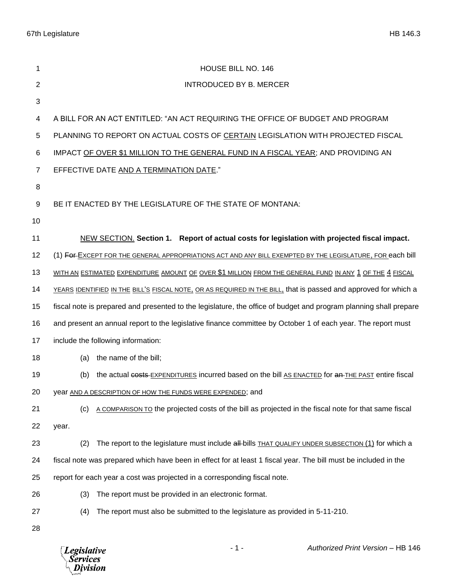67th Legislature HB 146.3

*Legislative*<br>Services<br>*Division* 

| 1              | HOUSE BILL NO. 146                                                                                                |
|----------------|-------------------------------------------------------------------------------------------------------------------|
| 2              | INTRODUCED BY B. MERCER                                                                                           |
| 3              |                                                                                                                   |
| 4              | A BILL FOR AN ACT ENTITLED: "AN ACT REQUIRING THE OFFICE OF BUDGET AND PROGRAM                                    |
| 5              | PLANNING TO REPORT ON ACTUAL COSTS OF CERTAIN LEGISLATION WITH PROJECTED FISCAL                                   |
| 6              | IMPACT OF OVER \$1 MILLION TO THE GENERAL FUND IN A FISCAL YEAR; AND PROVIDING AN                                 |
| $\overline{7}$ | EFFECTIVE DATE AND A TERMINATION DATE."                                                                           |
| 8              |                                                                                                                   |
| 9              | BE IT ENACTED BY THE LEGISLATURE OF THE STATE OF MONTANA:                                                         |
| 10             |                                                                                                                   |
| 11             | NEW SECTION. Section 1. Report of actual costs for legislation with projected fiscal impact.                      |
| 12             | (1) FOF EXCEPT FOR THE GENERAL APPROPRIATIONS ACT AND ANY BILL EXEMPTED BY THE LEGISLATURE, FOR each bill         |
| 13             | WITH AN ESTIMATED EXPENDITURE AMOUNT OF OVER \$1 MILLION FROM THE GENERAL FUND IN ANY 1 OF THE 4 FISCAL           |
| 14             | YEARS IDENTIFIED IN THE BILL'S FISCAL NOTE, OR AS REQUIRED IN THE BILL, that is passed and approved for which a   |
| 15             | fiscal note is prepared and presented to the legislature, the office of budget and program planning shall prepare |
| 16             | and present an annual report to the legislative finance committee by October 1 of each year. The report must      |
| 17             | include the following information:                                                                                |
| 18             | the name of the bill;<br>(a)                                                                                      |
| 19             | the actual costs-EXPENDITURES incurred based on the bill AS ENACTED for an THE PAST entire fiscal<br>(b)          |
| 20             | year AND A DESCRIPTION OF HOW THE FUNDS WERE EXPENDED; and                                                        |
| 21             | A COMPARISON TO the projected costs of the bill as projected in the fiscal note for that same fiscal<br>(c)       |
| 22             | year.                                                                                                             |
| 23             | The report to the legislature must include all-bills THAT QUALIFY UNDER SUBSECTION (1) for which a<br>(2)         |
| 24             | fiscal note was prepared which have been in effect for at least 1 fiscal year. The bill must be included in the   |
| 25             | report for each year a cost was projected in a corresponding fiscal note.                                         |
| 26             | The report must be provided in an electronic format.<br>(3)                                                       |
| 27             | (4)<br>The report must also be submitted to the legislature as provided in 5-11-210.                              |
| 28             |                                                                                                                   |

- 1 - *Authorized Print Version* – HB 146